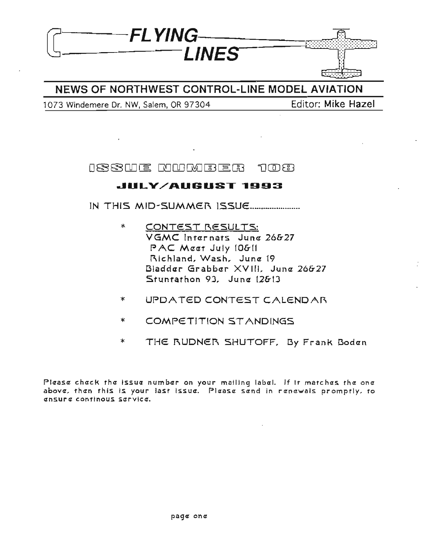

## NEWS OF NORTHWEST CONTROL-LINE MODEL AVIATION

1073 Windemere Dr. NW, Salem, OR 97304 Editor: Mike Hazel

ISSUE NUMBER กตกล

## **dULV/AUGUST ...993**

IN THIS MID-SUMMER ISSUE .......................

- \* CONTEST RESULTS: VGMC Intarnats Juna 26&27 PAC Maat July 10&11 Richland, Wash. June 19 Bladder Grabber XVIII, June 26&27 Stuntathon 93. Jung 12&13
- \* UPDATED CONTEST CALENDAR
- \* COMPETITION STANDINGS
- \* THE RUDNER SHUTOFF, By Frank Boden

Please check the issue number on your mailing label. If it matches the one above, then this is your last issue. Please send in renewals promptly, to ansur *a* continous sarvica.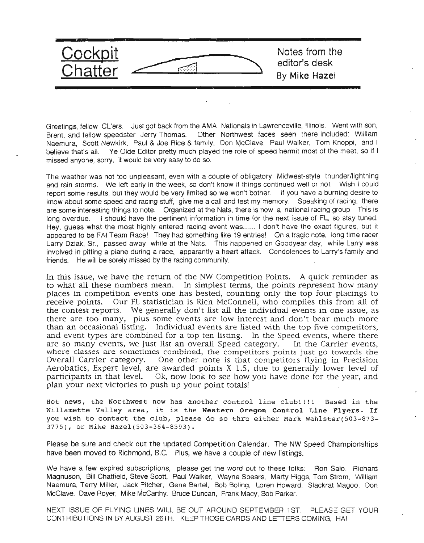

Greetings, fellow Cl'ers. Just got back from the AMA Nationals in Lawrenceville, Illinois. Went with son, Brent, and fellow speedster Jerry Thomas. Other Northwest faces seen there included: William Naemura, Scott Newkirk, Paul & Joe Rice & family, Don McClave, Paul Walker, Tom Knoppi, and I believe that's all. Ye Olde Editor pretty much played the role of speed hermit most of the meet, so if I missed anyone, sorry, it would be very easy to do so.

The weather was not too unpleasant, even with a couple of obligatory Midwest-style thunder/lightning and rain storms. We left early in the week, so don't know if things continued well or not. Wish I could report some results, but they would be very limited so we won't bother. If you have a burning desire to know about some speed and racing stuff, give me a call and test my memory. Speaking of racing, there are some interesting things to note. Organized at the Nats, there is now a national racing group. This is long overdue. I should have the pertinent information in time for the next issue of FL, so stay tuned. Hey, guess what the most highly entered racing event was...... I don't have the exact figures, but it appeared to be FAI Team Race! They had something like 19 entries! On a tragic note, long time racer Larry Dziak, Sr, passed away while at the Nats. This happened on Goodyear day, while larry was involved in pitting a plane during a race, apparantly a heart attack. Condolences to Larry's family and friends. He will be sorely missed by the racing community.

In this issue, we have the return of the NW Competition Points. A quick reminder as to what all these numbers mean. In simplest terms, the points represent how many places in competition events one has bested, counting only the top four placings to receive points. Our FL statistician is Rich McConnell, who compiles this from all of the contest reports. We generally don't list all the individual events in one issue, as there are too many, plus some events are low interest and don't bear much more than an occasional listing. Individual events are listed with the top five competitors, and event types are combined for a top ten listing. In the Speed events, where there are so many events, we just list an overall Speed category. In the Carrier events, where classes are sometimes combined, the competitors points just go towards the Overall Carrier category. One other note is that competitors flying in Precision Aerobatics, Expert level, are awarded points X 1.5, due to generally lower level of participants in that level. Ok, now look to see how you have done for the year, and plan your next victories to push up your point totals!

Hot news, the Northwest now has another control line clubllll Based in the Willamette Valley area, it is the Western Oregon Control Line Flyers. If you wish to contact the club, please do so thru either Mark Wahlster(503-873- 3775), or Mike Hazel(S03-364-8593).

Please be sure and check out the updated Competition Calendar. The NW Speed Championships have been moved to Richmond, B,C. Plus, we have a couple of new listings.

We have a few expired subscriptions, please get the word out to these folks: Ron Salo, Richard Magnuson, Bit! Chatfield, Steve Scott, Paul Walker, Wayne Spears, Marty Higgs, Tom Strom, William Naemura, Terry Miller, Jack Pitcher, Gene Bartel, Bob Boling, Loren Howard, Slackrat Magoo, Don McClave, Dave Royer, Mike McCarthy, Bruce Duncan, Frank Macy, Bob Parker.

NEXT ISSUE OF FLYING LINES WILL BE OUT AROUND SEPTEMBER 1ST. PLEASE GET YOUR CONTRIBUTIONS IN BY AUGUST 26TH. KEEP THOSE CARDS AND LETTERS COMING, HAl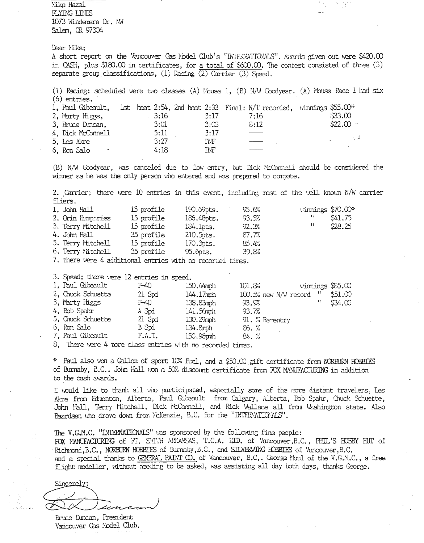Mike Hazel FLYING LINES 1073 Windemere Dr. NW Salem, OR 97304

Dear Mike;

A short report on the Vancouver Cas Model Club's "INTERVATIONALS". Awards given out were \$420.00 in CASH, plus \$180.00 in certificates, for a total of  $$600.00$ . The contest consisted of three (3) separate group classifications, (1) Racing  $\overline{(2)}$  Carrier (3) Speed.

(1) Racing: scheduled were two classes (A) Mouse 1, (B) N/W Coodyear. (A) Mouse Race 1 had six  $(6)$  entries. 1, Paul Gibeault, 1st heat 2:54, 2nd heat 2:33 Final: N/T recorded, winnings \$55.00\*  $33.00$ 2. Marty Higgs,  $3:16$  $3:17$  $7:16$ 3, Bruce Duncan,  $3:01$  $3:03$  $3:12$ \$22.00 . 4, Dick McConnell 5:11  $3:17$ 

5, Les Akre  $3:27$ INF 6, Ron Salo  $4:18$ **INF** 

(B) N/W Goodyear, was canceled due to low entry, but Dick McConnell should be considered the winner as he was the only person who entered and was prepared to compete.

2. Carrier; there were 10 entries in this event, including most of the well known N/W carrier fliers.

| $1.$ John $H11$   | 15 profile | $190.69$ pts. | 95.6% | vinnings \$70.00* |
|-------------------|------------|---------------|-------|-------------------|
| 2. Orin Humphries | 15 profile | 186.48pts.    | 93.5% | -15<br>\$41.75    |
| 3. Terry Mitchell | 15 profile | $184.1$ pts.  | 92.33 | \$28.25<br>11     |
| 4. John Hall      | 35 profile | $210.5$ pts.  | 87.7% |                   |
| 5. Terry Mitchell | 15 profile | $170.3$ pts.  | 85.4% |                   |
| 6. Terry Mitchell | 35 profile | $95.6pts$ .   | 39.8% |                   |

7. there were 4 additional entries with no recorded times.

3. Speed; there were 12 entries in speed.

| 1. Paul Gibeault  | F-40     | 150.44mph    | 101.33                       | winnings \$85.00 |         |
|-------------------|----------|--------------|------------------------------|------------------|---------|
| 2, Chuck Schuette | $21$ Spd | 144.17mph    | $100.5\%$ new N/W record $"$ |                  | \$51.00 |
| 3, Marty Higgs    | T-40     | 138.83mh     | 93.9%                        | 11               | \$34.00 |
| 4, Bob Spahr      | A. Spd   | $141.5$ mph  | 93.7%                        |                  |         |
| 5, Chuck Schuette | $21$ Spd | $130.29$ mph | $91.5$ Re-entry              |                  |         |
| 6, Ron Salo       | B Spd    | $134.8$ mph  | 86. %                        |                  |         |
| 7, Paul Gibeault  | F.A.I.   | $150.$ Sopmh | 84.73                        |                  |         |

8, There were 4 more class entries with no recorded times.

\* Paul also won a Gallon of sport 10% fuel, and a \$50.00 gift certificate from NORBURN HOBBIES of Burnaby, B.C.. John Hall won a 50% discount certificate from FOX MANUFACIURING in addition to the cash avards.

I would like to thank all who participated, especially some of the more distant travelers, Les Akre from Edmonton, Alberta, Paul Gibeault from Calgary, Alberta, Bob Spahr, Chuck Schuette, John Hall, Terry Mitchell, Dick McConnell, and Rick Wallace all from Washington state. Also Paardsen vho drove down from McKenzie, B.C. for the "INTERNATIONLS".

The V.G.M.C. "INTERNATIONALS" was sponsored by the following fine people: FOX MANUFACTURING of FT. SHIM ARKANSAS, T.C.A. LID. of Vancouver, B.C., PHIL'S HOBBY HUT of Richmond, B.C., NORBURN HOBBIES of Burnaby, B.C., and SILVERWING HOBBIES of Vancouver, B.C. and a special thanks to GENERAL PAINT CO. of Vancouver, B.C.. George Moul of the V.G.M.C., a free flight modeller, without needing to be asked, was assisting all day both days, thanks George.

Sincerely;

Bruce Duncan, President Vancouver Gas Model Club.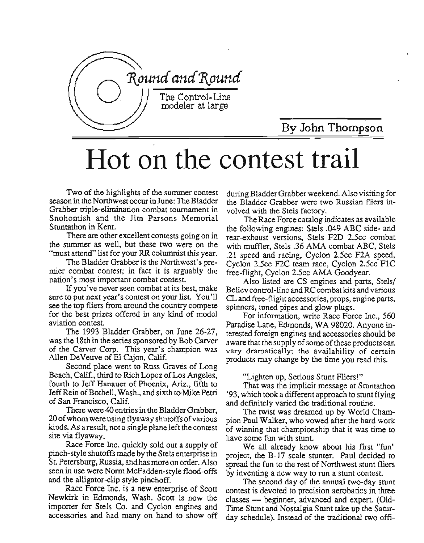

By Jolm Thompson

# Hot on the contest trail

Two of the highlights of the summer contest season in the Northwest occur in June: The Bladder Grabber triple-elimination combat tournament in Snohomish and the Jim Parsons Memorial Stuntathon in Kent.

There are other excellent contests going on in the summer as well, but these two were on the "must attend" list for your RR columnist this year.

The Bladder Grabber is the Northwest's premier combat contest; in fact it is arguably the nation's most important combat contest.

Ifyou've never seen combat at its best, make sure to put next year's contest on your list. You'll see the top fliers from around the country compete for the best prizes offered in any kind of model aviation contest.

The 1993 Bladder Grabber, on June 26-27, was the 18th in the series sponsored by Bob Carver of the Carver Corp. This year's champion was Allen DeVeuve of El Cajon, Calif.

Second place went to Russ Graves of Long Beach, Calif., third to Rich Lopez of Los Angeles, fourth to Jeff Hanauer of Phoenix, Ariz., fifth to Jeff Rein of Bothell, Wash., and sixth to Mike Petri of San Francisco, Calif.

There were 40 entries in the Bladder Grabber. 20 ofwhom were using flyaway shutoffs ofvarious kinds. As a result, not a single plane left the contest site via flyaway.

Race Force Inc. quickly sold out a supply of pinch-style shutoffs made by the Stels enterprise in St. Petersburg, Russia, andhas more on order. Also seen in use were Norm McFadden-style flood-offs and the alligator-clip style pinchoff.

Race Force Inc. is a new enterprise of Scott Newkirk in Edmonds, Wash. Scott is now the importer for Stels Co. and Cyclon engines and accessories and had many on hand to show off during BladderGrabberweekend. Also visiting for the Bladder Grabber were two Russian fliers involved with the Stels factory.

The Race Force catalog indicates as available the following engines: Steis .049 ABC side- and rear-exhaust versions, Stels F2D 2.5cc combat with muffler, Stels .36 AMA combat ABC, Stels .21 speed and racing, Cycion 2.5cc F2A speed, Cyclon 2.5cc F2C team race, Cyclon 2.5cc FlC free-flight, Cyclon 2.5cc AMA Goodyear.

Also listed are CS engines and parts, Stels/ Believ control-line and RC combat kits and various CL and free-flight accessories, props, engine parts, spinners, tuned pipes and glow plugs.

For information, write Race Force Inc., 560 Paradise Lane, Edmonds, WA 98020. Anyone interested foreign engines and accessories should be aware that the supply of some of these products can vary dramatically; the availability of certain products may change by the time you read this.

"Lighten up, Serious Stunt Fliers!"

That was the implicit message at Stuntathon '93, which took a different approach to stunt flying and definitely varied the traditional routine.

The twist was dreamed up by World Champion Paul Walker, who vowed after the hard work of winning that championship that it was time to have some fun with stunt.

We all already know about his first "fun" project, the B-17 scale stunter. Paul decided to spread the fun to the rest of Northwest stunt fliers by inventing a new way to run a stunt contest.

The second day of the annual two-day stunt contest is devoted to precision aerobatics in three classes — beginner, advanced and expert. (Old-Time Stunt and Nostalgia Stunt take up the Saturday schedule). Instead of the traditional two offi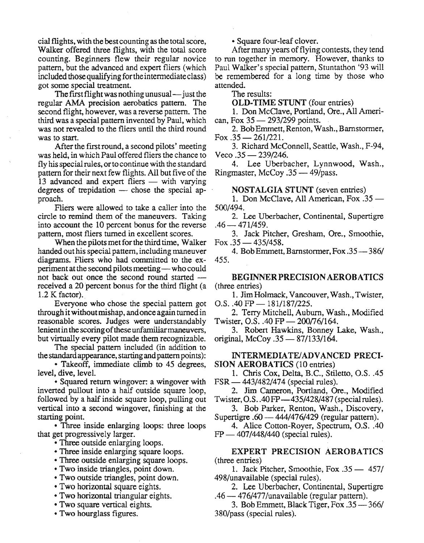cial flights, with the best counting as the total score, Walker offered three flights, with the total score counting. Beginners flew their regular novice pattern, but the advanced and expert fliers (which included those qualifying for the intermediate class) got some special treatment.

The first flight was nothing unusual  $-$  just the regular AMA precision aerobatics pattern. The second flight, however, was a reverse pattern. The third was a special pattern invented by Paul, which was not revealed to the fliers until the third round was to start.

After the first round, a second pilots' meeting was held, in which Paul offered fliers the chance to fly his special rules, or to continue with the standard pattern for their next few flights. All but five of the 13 advanced and expert fliers — with varying degrees of trepidation  $-$  chose the special approach.

Fliers were allowed to take a caller into the circle to remind them of the maneuvers. Taking into account the 10 percent bonus for the reverse pattern, most fliers turned in excellent scores.

When the pilots met for the third time, Walker handed out his special pattern, including maneuver diagrams. Fliers who had committed to the experiment at the second pilots meeting—who could not back out once the second round started received a 20 percent bonus for the third flight (a 1.2 K factor).

Everyone who chose the special pattern got through itwithoutmishap, andonce again turnedin reasonable scores. Judges were understandably lenient in the scoring of these unfamiliar maneuvers, but virtually every pilot made them recognizable.

The special pattern included (in addition to the standard appearance, starting and pattern points):

• Takeoff, immediate climb to 45 degrees, level, dive, level.

• Squared return wingover: a wingover with inverted pullout into a half outside square loop, followed by a half inside square loop, pulling out vertical into a second wingover, finishing at the starting point.

• Three inside enlarging loops: three loops that get progressively larger.

• Three outside enlarging loops.

- Three inside enlarging square loops.
- Three outside enlarging square loops.
- Two inside triangles, point down.
- Two outside triangles, point down.
- Two horizontal square eights.
- Two horizontal triangular eights.
- Two square vertical eights.
- Two hourglass figures.

• Square four-leaf clover.

After many years of flying contests, they tend to run together in memory. However, thanks to Paul Walker's special pattern, Stuntathon '93 will be remembered for a long time by those who attended.

The results:

OLD-TIME STUNT (four entries)

1. Don McClave, Portland, Ore., All American, Fox 35 - 293/299 points.

2. BobEmmett,Renton, Wash., Barnstormer, Fox  $.35 - 261/221$ .

3. Richard McConnell, Seattle, Wash., F-94,  $Veco$  .35  $-$  239/246.

4. Lee Uberbacher, Lynnwood, Wash., Ringmaster, McCoy .35 - 49/pass.

NOSTALGIA STUNT (seven entries)

1. Don McClave, All American, Fox  $.35$  — 500/494.

2. Lee Uberbacher, Continental, Supertigre  $.46-471/459.$ 

3. Jack Pitcher, Gresham, Ore., Smoothie, Fox  $.35 - 435/458$ .

4. Bob Emmett, Barnstormer, Fox .35 - 386/ 455.

BEGINNERPRECISION AEROBATICS (three entries)

1. JimHolmack, Vancouver, Wash., Twister,  $O.S.$ .40 FP  $- 181/187/225$ .

2. Terry Mitchell, Auburn, Wash., Modified Twister, O.S.  $.40$  FP  $- 200/76/164$ .

3. Robert Hawkins, Bonney Lake, Wash., original, McCoy.  $35 - \frac{87}{133}{164}$ .

#### INTERMEDIATElADVANCED PRECI-SION AEROBATICS (10 entries)

1. Chris Cox, Delta, B.C., Stiletto, O.S. .45  $FSR = 443/482/474$  (special rules).

2. Jim Cameron, Portland, Ore., Modified Twister, O.S..4OFP-435/428/487 (specialrules).

3. Bob Parker, Renton, Wash., Discovery, Supertigre  $.60 - 444/476/429$  (regular pattern).

4. Alice Cotton-Royer, Spectrum, O.S..40  $FP = 407/448/440$  (special rules).

EXPERT PRECISION AEROBATICS (three entries)

1. Jack Pitcher, Smoothie, Fox .35 - 457/ 498/unavailable (special rules).

2. Lee Uberbacher, Continental, Supertigre  $.46 - 476/477/$ unavailable (regular pattern).

3. Bob Emmett, Black Tiger, Fox .35 - 366/ 380/pass (special rules).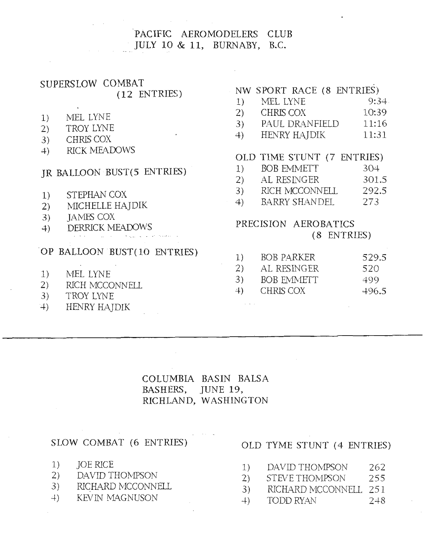## PACIFIC AEROMODELERS CLUB JULY 10 & 11, BURNABY, B.C.

## SUPERSLOW COMBAT  $(12$  ENTRIES)

- MEL LYNE  $1)$
- TROY LYNE  $(2)$
- 3) CHRIS COX
- 4) RICK MEADOWS

## JR BALLOON BUST(5 ENTRIES)

- STEPHAN COX  $1)$
- MICHELLE HAJDIK  $(2)$
- **JAMES COX**  $3)$
- **DERRICK MEADOWS**  $4)$

## OP BALLOON BUST(10 ENTRIES)

- $\Delta$ MEL LYNE  $1)$
- 2) RICH MCCONNELL
- 3) TROY LYNE
- $+$ ) HENRY HAJDIK

## NW SPORT RACE (8 ENTRIES)

- MEL LYNE  $9:34.$  $1)$
- $(2)$ CHRIS COX  $10:39$
- 3) PAUL DRANFIELD 11:16
- $4)$ HENRY HAJDIK 11:31

## OLD TIME STUNT (7 ENTRIES)

- **BOB EMMETT**  $304$  $1)$  $(2)$ AL RESINGER 301.5
- $3)$ 292.5 RICH MCCONNELL
- 4) BARRY SHANDEL 273

## PRECISION AEROBATICS (8 ENTRIES)

| <sup>1</sup> | <b>BOB PARKER</b> | 529.5 |
|--------------|-------------------|-------|
| <sup>2</sup> | AL RESINGER       | 520   |
| 3)           | <b>BOB EMMETT</b> | 499   |
| $+$          | CHRIS COX         | 496.5 |

## COLUMBIA BASIN BALSA BASHERS, JUNE 19, RICHLAND, WASHINGTON

### SLOW COMBAT (6 ENTRIES)

- **JOE RICE**  $1)$
- $(2)$ DAVID THOMPSON
- RICHARD MCCONNELL  $3)$
- **KEVIN MAGNUSON**  $+$ )

### OLD TYME STUNT (4 ENTRIES)

- 1) DAVID THOMPSON 262
- $(2)$ 255 STEVE THOMPSON
- 3) RICHARD MCCONNELL 251
- TODD RYAN  $2 + 8$  $+$ )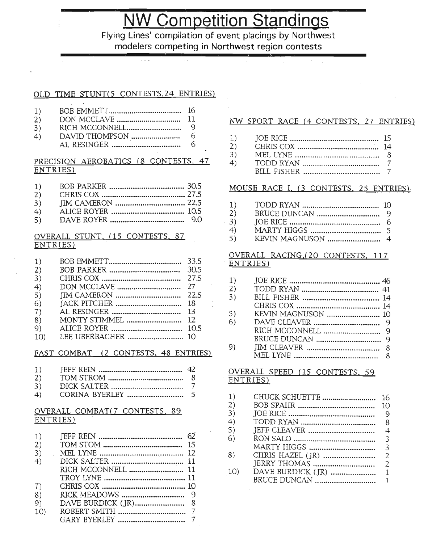## **NW Competition Standings**

Flying Lines' compilation of event placings by Northwest modelers competing in Northwest region contests

#### OLD TIME STUNT(s CONTESTS,24 ENTRIES)

| 1) | - 16 |
|----|------|
| 2) |      |
| 3) | -9   |

4) DAVID THOMPSON " , 6 AL RESINGER ,...................... 6

#### PRECISION AEROBATICS (8 CONTESTS, 47 ENTRIES)

| 1)     |               |  |
|--------|---------------|--|
| $\sim$ | $ATTITC$ $C1$ |  |

- 2) CHRIS COX " " 27.5 3) JIM CAMERON "." """.. 2Z.5
- 4) ALICE ROYER " .." .."." 10.5
- 5) DAVE ROYER " ......"" ""."" "". 9.0

#### OVERALL STUNT, (15 CONTESTS, 87 ENTRIES) .

| <sup>1</sup>    |               |      |
|-----------------|---------------|------|
| 2)              |               | 30.5 |
| 3)              |               | 27.5 |
| 4)              |               |      |
| 5)              |               | 22.5 |
| 6)              |               | 18   |
| 7)              |               | 13   |
| 8)              | MONTY STIMMEL | 12   |
| 9)              |               | 10.5 |
| 10 <sub>0</sub> |               |      |

#### FAST COMBAT (2 CONTESTS, 48 ENTRIES)

- 3) DICK SALTER ". 7
- 4) CORINA BYERLEy "................ 5

#### OVERALL COMBAT(7 CONTESTS, 89 ENTRIES)

| 1)  |                    |  |
|-----|--------------------|--|
| (2) |                    |  |
| 3)  |                    |  |
| 4)  |                    |  |
|     | RICH MCCONNELL  11 |  |
|     |                    |  |
| 7)  |                    |  |
| 8)  |                    |  |
| 9)  |                    |  |
| 10) |                    |  |
|     |                    |  |
|     |                    |  |

#### NW SPORT RACE (4 CONTESTS, 27 ENTRIES)

- 1) JOE RICE "" " ""........ 15
- 2) CHRIS COX .." ~. 14
- 3) MEL LYNE "........................... 8
- 4) TODD RYAN 7 BILL FISHER "..... 7

#### MOUSE RACE I, (3 CONTESTS, 25 ENTRIES).

- 1) TODD RYJ\N " "." ". 10 2) BRUCE DUNCAN 9 . 3) JOE RICE ".............. 6
- 4) MARTY HIGGS "............................... 5 5) KEVIN MAGNUSON " 4

#### OVERALL RACING,(20 CONTESTS, 117 ENTRIES)

| 1) |                    |  |
|----|--------------------|--|
| 2) |                    |  |
| 3) |                    |  |
|    |                    |  |
| 5) | KEVIN MAGNUSON  10 |  |
| 6) |                    |  |
|    |                    |  |
|    |                    |  |
| 9) |                    |  |
|    |                    |  |

#### OVERALL SPEED (15 CONTESTS, 59 ENTRIES)

| 1)  | CHUCK SCHUETTE | 16            |
|-----|----------------|---------------|
| 2)  |                | 10            |
| 3)  |                | 9             |
| 4)  |                | 8             |
| 5)  |                | 4             |
| 6)  |                | 3             |
|     | MARTY HIGGS    | 3             |
| 8)  |                | 2             |
|     |                | $\mathcal{P}$ |
| 10) |                |               |
|     |                |               |
|     |                |               |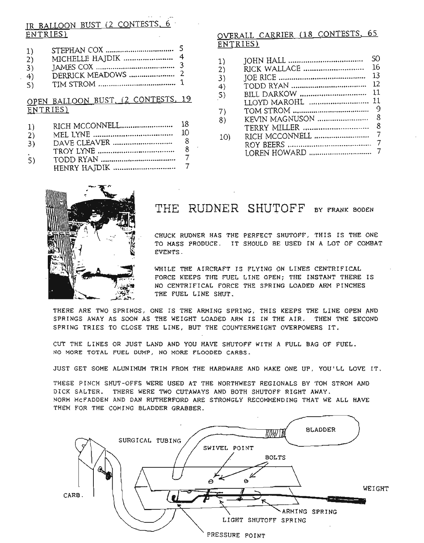## IR BALLOON BUST (2 CONTESTS, 6 ENTRIES)

| 1)  |                                                                                                                                                                                                                                                                                                                                      |  |
|-----|--------------------------------------------------------------------------------------------------------------------------------------------------------------------------------------------------------------------------------------------------------------------------------------------------------------------------------------|--|
| 2)  |                                                                                                                                                                                                                                                                                                                                      |  |
| 3)  | JAMES COX $\ldots$ $\ldots$ $\ldots$ $\ldots$ $\ldots$ $\ldots$ $\ldots$ $\ldots$ $\ldots$ $\ldots$ $\ldots$ $\ldots$ $\ldots$ $\ldots$ $\ldots$ $\ldots$ $\ldots$ $\ldots$ $\ldots$ $\ldots$ $\ldots$ $\ldots$ $\ldots$ $\ldots$ $\ldots$ $\ldots$ $\ldots$ $\ldots$ $\ldots$ $\ldots$ $\ldots$ $\ldots$ $\ldots$ $\ldots$ $\ldots$ |  |
| 4)  |                                                                                                                                                                                                                                                                                                                                      |  |
| 5). |                                                                                                                                                                                                                                                                                                                                      |  |
|     |                                                                                                                                                                                                                                                                                                                                      |  |

## OPEN BALLOON BUST, (2 CONTESTS, 19 ENTRIES)

| 1) | 18 |
|----|----|
|    |    |

- $2)$ - 8
- $3)$  $\overline{7}$
- $5)$  $\overline{7}$

## OVERALL CARRIER (18 CONTESTS, 65 ENTRIES)

| $ 1\rangle$ |                | SO.            |
|-------------|----------------|----------------|
| 2)          | RICK WALLACE   | 16             |
| 3)          |                | 13             |
| 4)          |                | 12             |
| 5)          | BILL DARKOW    | 11             |
|             |                | 11             |
| 7)          |                | 9              |
| 8)          | KEVIN MAGNUSON | 8              |
|             |                | 8              |
| 10)         |                |                |
|             |                | $\overline{7}$ |
|             |                |                |



## THE RUDNER SHUTOFF BY FRANK BODEN

CHUCK RUDNER HAS THE PERFECT SHUTOFF, THIS IS THE ONE TO MASS PRODUCE. IT SHOULD BE USED IN A LOT OF COMBAT EVENTS.

WHILE THE AIRCRAFT IS FLYING ON LINES CENTRIFICAL FORCE KEEPS THE FUEL LINE OPEN; THE INSTANT THERE IS NO CENTRIFICAL FORCE THE SPRING LOADED ARM PINCHES THE FUEL LINE SHUT.

THERE ARE TWO SPRINGS, ONE IS THE ARMING SPRING, THIS KEEPS THE LINE OPEN AND SPRINGS AWAY AS SOON AS THE WEIGHT LOADED ARM IS IN THE AIR. THEN THE SECOND SPRING TRIES TO CLOSE THE LINE, BUT THE COUNTERWEIGHT OVERPOWERS IT.

CUT THE LINES OR JUST LAND AND YOU HAVE SHUTOFF WITH A FULL BAG OF FUEL. NO MORE TOTAL FUEL DUMP, NO MORE FLOODED CARBS.

JUST GET SOME ALUNIMUM TRIM FROM THE HARDWARE AND MAKE ONE UP, YOU'LL LOVE IT.

THESE PINCH SHUT-OFFS WERE USED AT THE NORTHWEST REGIONALS BY TOM STROM AND DICK SALTER. THERE WERE TWO CUTAWAYS AND BOTH SHUTOFF RIGHT AWAY. NORM MCFADDEN AND DAN RUTHERFORD ARE STRONGLY RECOMMENDING THAT WE ALL HAVE THEM FOR THE COMING BLADDER GRABBER.



PRESSURE POINT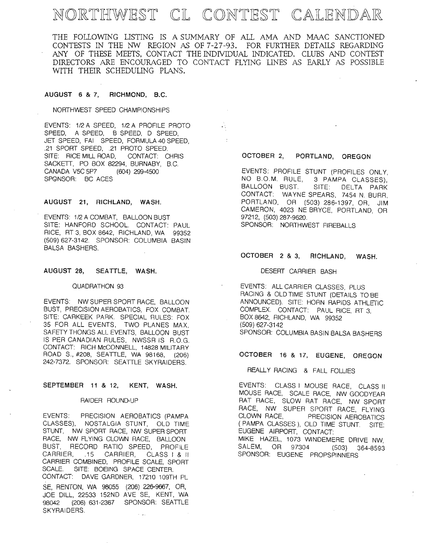## NORTHWEST CL CONTEST CALENDAR

THE FOLLOWING LISTING IS A SUMMARY OF ALL AMA AND MAAC SANCTIONED CONTESTS IN THE NW REGION AS OF 7-27-93. FOR FURTHER DETAILS REGARDING ANY OF THESE MEETS, CONTACT THE INDIVIDUAL INDICATED. CLUBS AND CONTEST DIRECTORS ARE ENCOURAGED TO CONTACT FLYING LINES AS EARLY AS POSSIBLE WITH THEIR SCHEDULING PLANS.

..

 $\sim$  1

#### AUGUST 6 & 7, RICHMOND, B.C.

NORTHWEST SPEED CHAMPIONSHIPS

EVENTS: 1/2 A SPEED, 1/2 A PROFILE PROTO SPEED, A SPEED, B SPEED, D SPEED, JET SPEED, FAI SPEED, FORMULA 40 SPEED, .21 SPORT SPEED, .21 PROTO SPEED. SITE: RICE MILL ROAD, CONTACT: CHRIS SACKETT, PO BOX 82294, BURNABY, B.C. CANADA V5C 5P7 (604) 299-4500 SPGNSOR: BC ACES

#### AUGUST 21, RICHLAND, WASH.

EVENTS: 1/2 A COMBAT, BALLOON BUST SITE: HANFORD SCHOOL. CONTACT: PAUL RICE, RT 3, BOX 8642, RICHLAND, WA 99352 (509) 627-3142. SPONSOR: COLUMBIA BASIN BALSA BASHERS.

#### AUGUST 28, SEATILE, WASH.

#### QUADRATHON 93

EVENTS: NW SUPER SPORT RACE, BALLOON BUST, PRECISION AEROBATICS, FOX COMBAT. SITE: CARKEEK PARK. SPECIAL RULES: FOX 35 FOR ALL EVENTS, TWO PLANES MAX, SAFETY THONGS ALL EVENTS, BALLOON BUST IS PER CANADIAN RULES, NWSSR IS R.O.G. CONTACT: RICH McCONNELL, 14828 MILITARY ROAD S., #208, SEATILE, WA 98168, (206) 242-7372. SPONSOR: SEATILE SKYRAIDERS.

#### SEPTEMBER 11 & 12, KENT, WASH.

#### RAIDER ROUND-UP

EVENTS: PRECISION AEROBATICS (PAMPA CLASSES), NOSTALGIA STUNT, OLD TIME STUNT, NW SPORT RACE, NW SUPER SPORT RACE, NW FLYING CLOWN RACE, BALLOON BUST, RECORD RATIO SPEED, PROFILE CARRIER, .15 CARRIER, CLASS | & II CARRIER COMBINED, PROFILE SCALE, SPORT SCALE. SITE: BOEING SPACE CENTER. CONTACT: DAVE GARDNER, 17210 109TH PL SE, RENTON, WA 95055 (206) 226-9667, OR, JOE DILL, 22533 152ND AVE SE, KENT, WA 98042 (206) 631-2367 SPONSOR: SEATILE SKYRAIDERS.

#### OCTOBER 2, PORTLAND, OREGON

EVENTS: PROFILE STUNT (PROFILES ONLY, NO B.O.M. RULE, 3 PAMPA CLASSES), BALLOON BUST. SITE: DELTA PARK CONTACT: WAYNE SPEARS, 7454 N. BURR, PORTLAND, OR (503) 286-1397, OR. JIM CAMERON, 4023 NE BRYCE, PORTLAND, OR 97212, (503) 287-9620. SPONSOR: NORTHWEST FIREBALLS

#### OCTOBER 2 & 3, RICHLAND, WASH.

#### DESERT CARRIER BASH

EVENTS: ALL CARRIER CLASSES, PLUS RACING & OLDTIME STUNT (DETAILS TO BE ANNOUNCED). SITE: HORN RAPIDS ATHLETIC COMPLEX. CONTACT: PAUL RICE, RT 3, BOX 8642, RICHLAND, WA 99352 (509) 627-3142 SPONSOR: COLUMBIA BASIN BALSA BASHERS

#### OCTOBER 16 & 17, EUGENE, OREGON

#### REALLY RACING & FALL FOLLIES

EVENTS: CLASS I MOUSE RACE, CLASS II MOUSE RACE, SCALE RACE, NW GOODYEAR RAT RACE, SLOW RAT RACE, NW SPORT RACE, NW SUPER SPORT RACE, FLYING<br>CLOWN RACE, PRECISION AFROBATICS PRECISION AEROBATICS (PAMPA CLASSES), OLD TIME STUNT. SITE: EUGENE AIRPORT, CONTACT: MIKE HAZEL, 1073 WINDEMERE DRIVE NW SALEM, OR 97304 (503) 364-8593 SPONSOR: EUGENE PROPSPINNERS